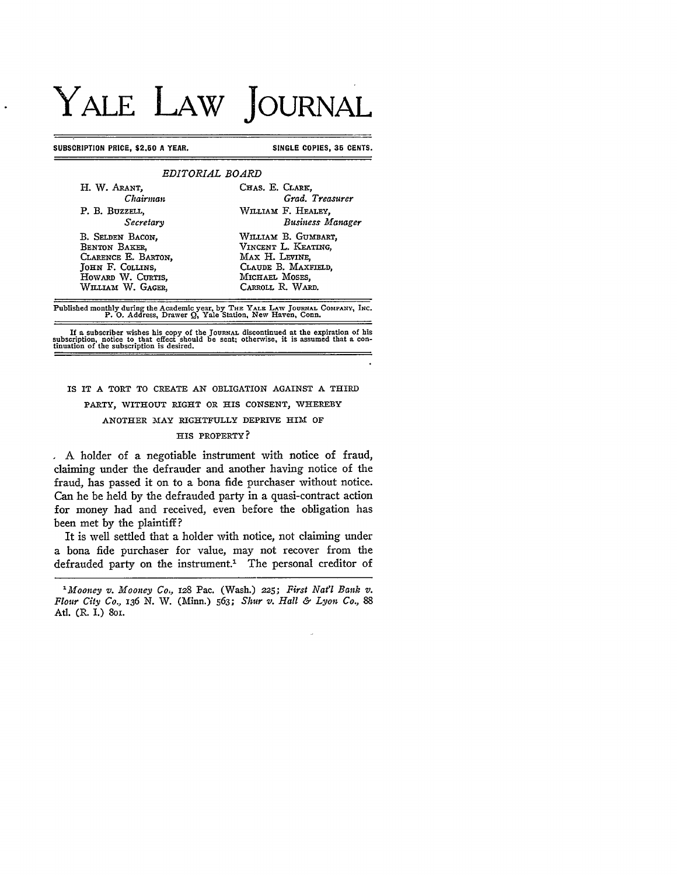# YALE LAW **JOURNAL**

#### **SUBSCRIPTION PRICE, \$2.50 A YEAR.** SINGLE COPIES, 35 CENTS.

| H. W. ARANT,        | CHAS. E. CLARK,         |
|---------------------|-------------------------|
| Chairman            | Grad. Treasurer         |
| P. B. BUZZELL,      | WILLIAM F. HEALEY,      |
| Secretarv           | <b>Business Manager</b> |
| B. SELDEN BACON,    | William B. GUMBART,     |
| BENTON BAKER.       | VINCENT L. KEATING,     |
| CLARENCE E. BARTON, | MAX H. LEVINE.          |
| JOHN F. COLLINS.    | CLAUDE B. MAXFIELD,     |
| HOWARD W. CURTIS.   | MICHAEL MOSES.          |
| WILLIAM W. GAGER,   | CARROLL R. WARD.        |

Published monthly during the Academic year, **by THE YALE** LAW **JoURNAL COMPANY, INC. P. 0.** Address, Drawer Q, Yale Station, New Haven, Conn.

If a subscriber wishes his copy of the Journal discontinued at the expiration of his<br>subscription, notice to that effect should be sent; otherwise, it is assumed that a con-<br>tinuation of the subscription is desired.

## IS IT **A** TORT TO CREATE **AN** OBLIGATION **AGAINST A** THIRD PARTY, WITHOUT RIGHT OR HIS **CONSENT,** WHEREBY ANOTHER MAY RIGHTFULLY DEPRIVE HIM OF

#### **HIS** PROPERTY?

**A** holder of a negotiable instrument with notice of fraud, claiming under the defrauder and another having notice of the fraud, has passed it on to a bona fide purchaser without notice. Can he be held by the defrauded party in a quasi-contract action for money had and received, even before the obligation has been met by the plaintiff?

It is well settled that a holder with notice, not claiming under a bona fide purchaser for value, may not recover from the defrauded party on the instrument.<sup>1</sup> The personal creditor of

*<sup>&#</sup>x27;Mooney v. Mooney Co,,* 128 Pac. (Wash.) 225; *First Natl Bank v. Flour City Co., 136* **N.** W. (Minn.) *563; Shur v. Hall & Lyon Co., 88* Atl. (R. I.) 801.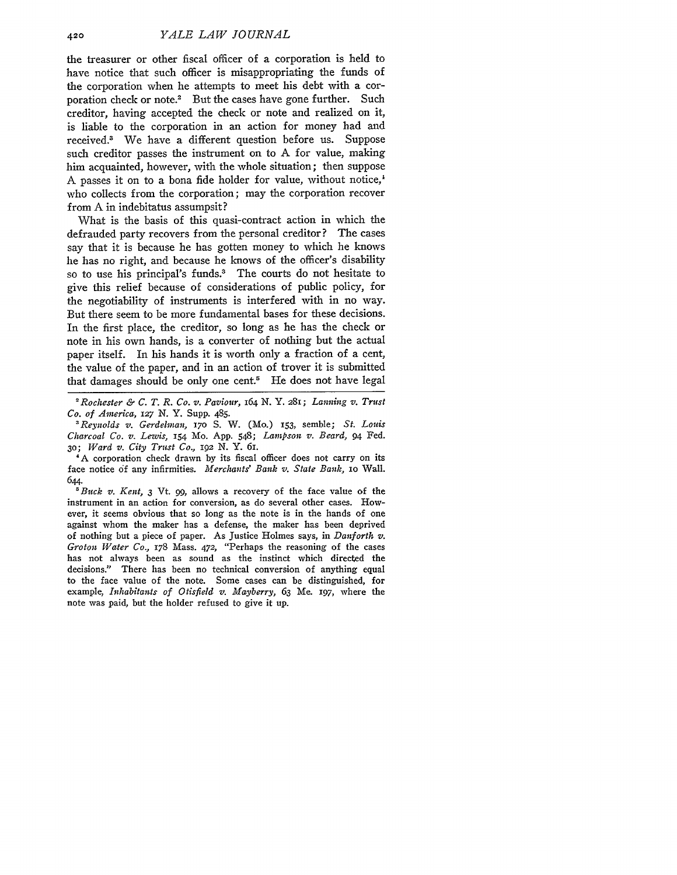the treasurer or other fiscal officer of a corporation is held to have notice that such officer is misappropriating the funds of the corporation when he attempts to meet his debt with a corporation check or note.<sup>2</sup> But the cases have gone further. Such creditor, having accepted the check or note and realized on *it,* is liable to the corporation in an action for money had and received.<sup>3</sup> We have a different question before us. Suppose such creditor passes the instrument on to **A** for value, making him acquainted, however, with the whole situation; then suppose **A** passes it on to a bona fide holder for value, without notice,' who collects from the corporation; may the corporation recover from **A** in indebitatus assumpsit?

'What is the basis of this quasi-contract action in which the defrauded party recovers from the personal creditor? The cases say that it is because he has gotten money to which he knows he has no right, and because he knows of the officer's disability so to use his principal's funds.<sup>3</sup> The courts do not hesitate to give this relief because of considerations of public policy, for the negotiability of instruments is interfered with in no way. But there seem to be more fundamental bases for these decisions. In the first place, the creditor, so long as he has the check or note in his own hands, is a converter of nothing but the actual paper itself. In his hands it is worth only a fraction of a cent, the value of the paper, and in an action of trover it is submitted that damages should be only one cent.<sup>5</sup> He does not have legal

*'Reynolds v. Gerdelman,* **170** S. W. (Mo.) **153,** semble; *St. Louis Charcoal Co. v. Lewis,* 54 Mo. App. 548; *Lampson v. Beard,* 94 Fed. **30;** *Ward v. City Trust Co.,* 192 **N.** Y. 61.

**'A** corporation check drawn by its fiscal officer does not carry on its face notice **of** any infirmities. *Merchants' Bank v. State Bank,* **1o** Wall. 644.

*'Buck v. Kent, 3* Vt. *99,* allows a recovery of the face value of the instrument in an action for conversion, as do several other cases. However, it seems obvious that so long as the note is in the hands of one against whom the maker has a defense, the maker has been deprived of nothing but a piece of paper. As Justice Holmes says, in *Danforth v. Groton Water Co.,* 178 Mass. *472,* "Perhaps the reasoning of the cases has not always been as sound as the instinct which directed the decisions." There has been no technical conversion of anything equal to the face value of the note. Some cases can be distinguished, for example, *Inhabitants of Otisfield v. Mayberry, 63* Me. 197, where the note was paid, but the holder refused to give it up.

*<sup>2</sup> Rochester & C. T. R. Co. v. Paviour,* 164 N. Y. 281; *Lanning v. Trust Co. of America, 127* N. Y. Supp. 485.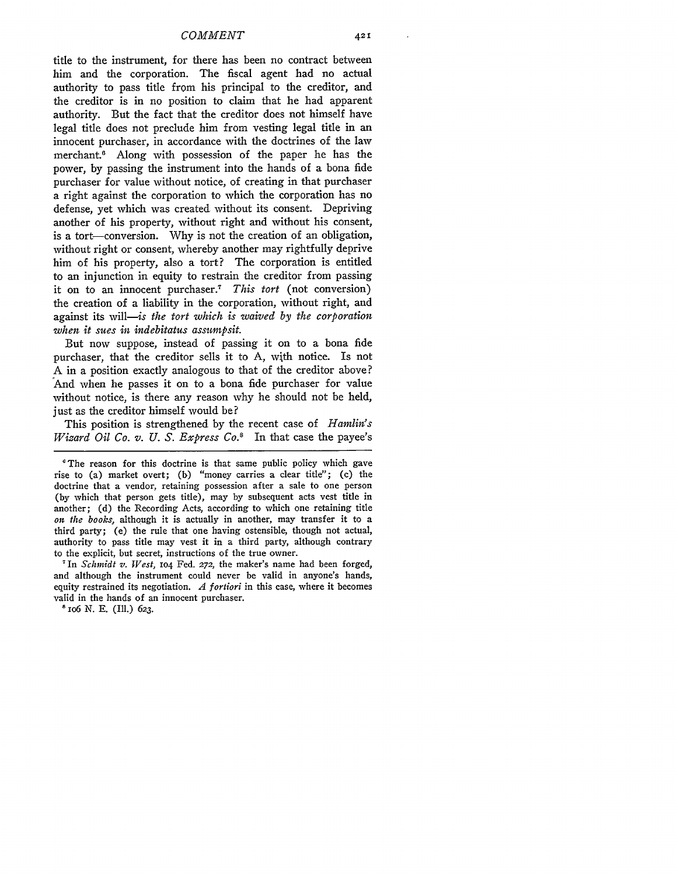title to the instrument, for there has been no contract between him and the corporation. The fiscal agent had no actual authority to pass title from his principal to the creditor, and the creditor is in no position to claim that he had apparent authority. But the fact that the creditor does not himself have legal title does not preclude him from vesting legal title in an innocent purchaser, in accordance with the doctrines of the law merchant.<sup>6</sup> Along with possession of the paper he has the power, by passing the instrument into the hands of a bona fide purchaser for value without notice, of creating in that purchaser a right against the corporation to which the corporation has no defense, yet which was created without its consent. Depriving another of his property, without right and without his consent, is a tort-conversion. Why is not the creation of an obligation, without right or consent, whereby another may rightfully deprive him of his property, also a tort? The corporation is entitled to an injunction in equity to restrain the creditor from passing it on to an innocent purchaser. <sup>7</sup>*This tort* (not conversion) the creation of a liability in the corporation, without right, and against its will--is *the tort which is waived by the corporation when it sues in indebitatus assumpsit.*

But now suppose, instead of passing it on to a bona fide purchaser, that the creditor sells it to A, with notice. Is not A in a position exactly analogous to that of the creditor above? And when he passes it on to a bona fide purchaser for value without notice, is there any reason why he should not be held, just as the creditor himself would be?

This position is strengthened by the recent case of *Hamlin's Wizard Oil Co. v. U. S. Express Co."* In that case the payee's

*'In* Schmidt v. *Vest,* **104** Fed. **272,** the maker's name had been forged, and although the instrument could never be valid in anyone's hands, equity restrained its negotiation. *A fortiori* in this case, where it becomes valid in the hands of an innocent purchaser.

**a** io6 N. **E.** (Ill.) 623.

The reason for this doctrine is that same public policy which gave rise to (a) market overt; (b) "money carries a clear title"; (c) the doctrine that a vendor, retaining possession after a sale to one person (by which that person gets title), may by subsequent acts vest title in another; (d) the Recording Acts, according to which one retaining title *on the books,* although it is actually in another, may transfer it to a third party; (e) the rule that one having ostensible, though not actual, authority to pass title may vest it in a third party, although contrary to the explicit, but secret, instructions of the true owner.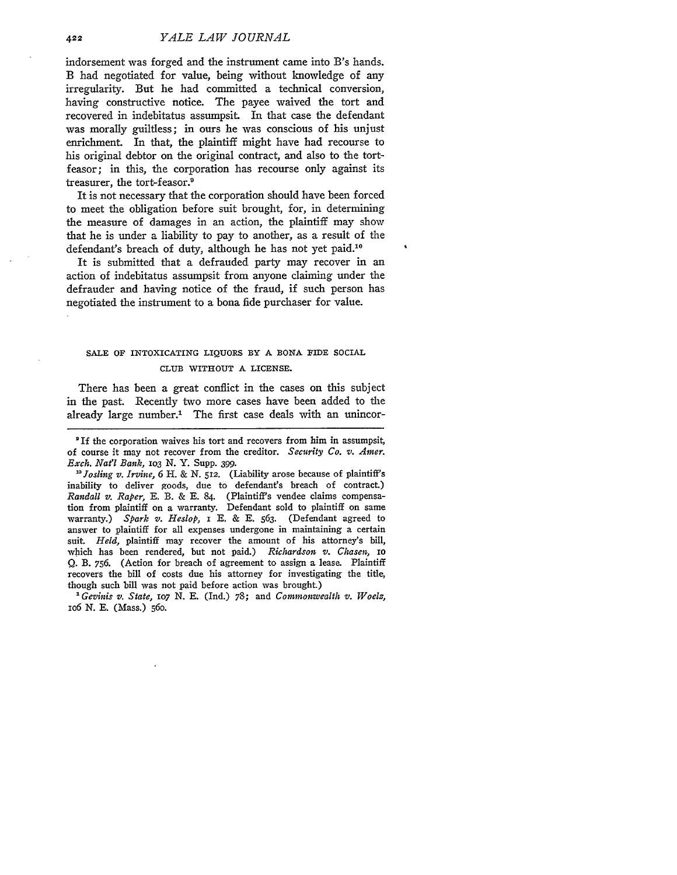indorsement was forged and the instrument came into B's hands. B had negotiated for value, being without knowledge of any irregularity. But he had committed a technical conversion, having constructive notice. The payee waived the tort and recovered in indebitatus assumpsit. In that case the defendant was morally guiltless; in ours he was conscious of his unjust enrichment. In that, the plaintiff might have had recourse to his original debtor on the original contract, and also to the tortfeasor; in this, the corporation has recourse only against its treasurer, the tort-feasor.9

It is not necessary that the corporation should have been forced to meet the obligation before suit brought, for, in determining the measure of damages in an action, the plaintiff may show that he is under a liability to pay to another, as a result of the defendant's breach of duty, although he has not yet paid.<sup>10</sup>

It is submitted that a defrauded party may recover in an action of indebitatus assumpsit from anyone claiming under the defrauder and having notice of the fraud, if such person has negotiated the instrument to a bona fide purchaser for value.

### **SALE** OF INTOXICATING **LIQUORS** BY **A BONA FIDE** SOCIAL **CLUB** WITHOUT **A** LICENSE.

There has been a great conflict in the cases on this subject in the past. Recently two more cases have been added to tie already large number.' The first case deals with an unincor-

*"Josling v. Irvine,* 6 H. & N. **512.** (Liability arose because of plaintiff's inability to deliver goods, due to defendant's breach of contract.) *Randall v. Raper,* E. B. & **E.** 84. (Plaintiff's vendee claims compensation from plaintiff on a warranty. Defendant sold to plaintiff on same warranty.) *Spark v. Heslop,* I **E.** & **E.** 563. (Defendant agreed to answer to plaintiff for all expenses undergone in maintaining a certain suit. *Held,* plaintiff may recover the amount of his attorney's bill, which has been rendered, but not paid.) *Richardson v. Chasen, IO* Q. B. 756. (Action for breach of agreement to assign a lease. Plaintiff recovers the bill of costs due his attorney for investigating the title, though such bill was not paid before action was brought.)

1Gevinis *v. State, 1o7* **N. E.** (Ind.) 78; and *Commonwealth v. Woelz,* io6 N. **E.** (Mass.) 56o.

<sup>9</sup>If the corporation waives his tort and recovers from him in assumpsit, of course it may not recover from the creditor. *Security Co. v. Amer. Exch. Natl Bank, lO3* N. Y. Supp. 399.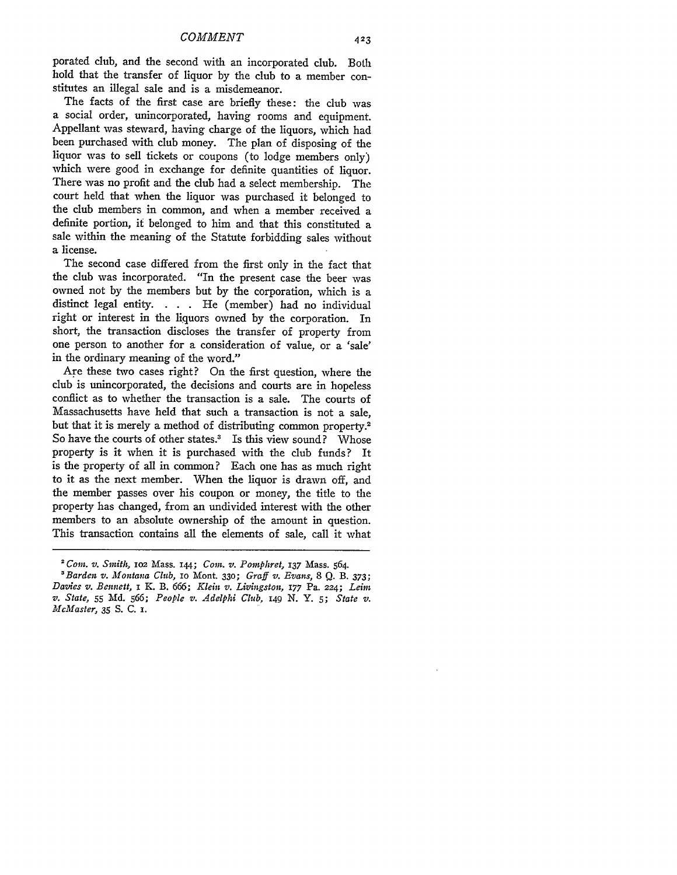porated club, and the second with an incorporated club. Both hold that the transfer of liquor by the club to a member constitutes an illegal sale and is a misdemeanor.

The facts of the first case are briefly these: the club was a social order, unincorporated, having rooms and equipment. Appellant was steward, having charge of the liquors, which had been purchased with club money. The plan of disposing of the liquor was to sell tickets or coupons (to lodge members only) which were good in exchange for definite quantities of liquor. There was no profit and the club had a select membership. The court held that when the liquor was purchased it belonged to the club members in common, and when a member received a definite portion, if belonged to him and that this constituted a sale within the meaning of the Statute forbidding sales without a license.

The second case differed from the first only in the fact that the club was incorporated. "In the present case the beer was owned not by the members but by the corporation, which is a distinct legal entity. **. . .** He (member) had no individual right or interest in the liquors owned by the corporation. In short, the transaction discloses the transfer of property from one person to another for a consideration of value, or a 'sale' in the ordinary meaning of the word."

Are these two cases right? On the first question, where the club is unincorporated, the decisions and courts are in hopeless conflict as to whether the transaction is a sale. The courts of Massachusetts have held that such a transaction is not a sale, but that it is merely a method of distributing common property.<sup>2</sup> So have the courts of other states.<sup>3</sup> Is this view sound? Whose property is it when it is purchased with the club funds? It is the property of all in common? Each one has as much right to it as the next member. When the liquor is drawn off, and the member passes over his coupon or money, the title to the property has changed, from an undivided interest with the other members to an absolute ownership of the amount in question. This transaction contains all the elements of sale, call it what

*<sup>&#</sup>x27; Coin. v. Smith,* IO2 Mass. 144; *Coin. v. Pornphret,* **137** Mass. 564.

*<sup>&#</sup>x27;Barden v. Montana Club,* io Mont. **330;** *Graff v. Evans, 8* **Q.** B. **373;** *Davies v. Bennett,* i K. B. *666; Klein v. Livingston,* 177 Pa. 224; *Lein v. State,* **55** Md. *566; People v. Adelphi Club, 149* N. Y. *5; State v. McMaster,* 35 **S.** C. **.**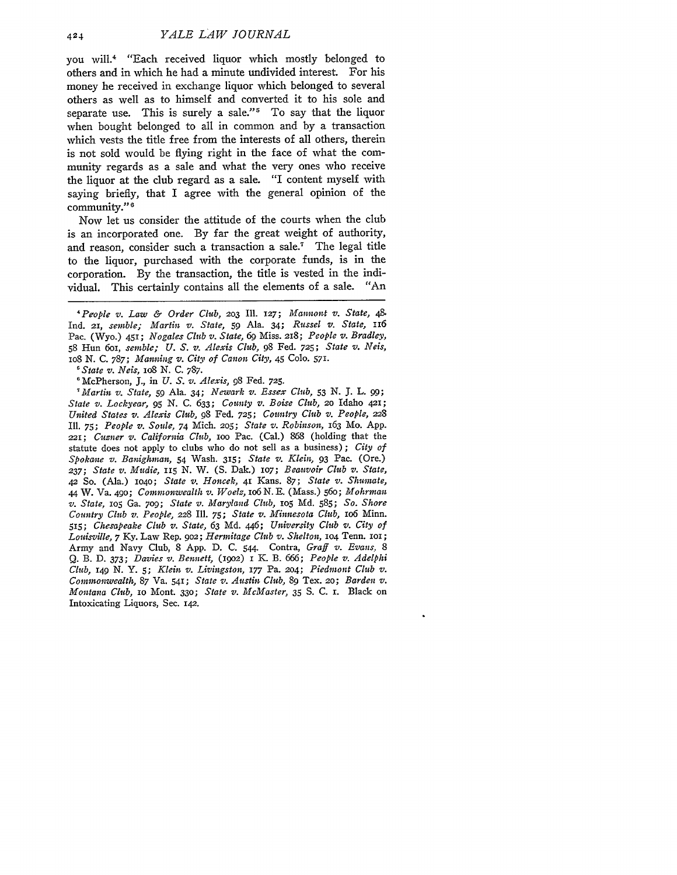you will.<sup>4</sup> "Each received liquor which mostly belonged to others and in which he had a minute undivided interest. For his money he received in exchange liquor which belonged to several others as well as to himself and converted it to his sole and separate use. This is surely a sale."<sup>5</sup> To say that the liquor when bought belonged to all in common and by a transaction which vests the title free from the interests of all others, therein is not sold would be flying right in the face of what the community regards as a sale and what the very ones who receive the liquor at the club regard as a sale. "I content myself with saying briefly, that I agree with the general opinion of the community." <sup>6</sup>

Now let us consider the attitude of the courts when the club is an incorporated one. By far the great weight of authority, and reason, consider such a transaction a sale.<sup>7</sup> The legal title to the liquor, purchased with the corporate funds, is in the corporation. By the transaction, the title is vested in the individual. This certainly contains all the elements of a sale. "An

*State v. Neis, io8* N. C. 787.

'McPherson, **J.,** in *U. S. v. Alexis, 98* Fed. **725.**

*'Martin v. State, 59* Ala. 34; *Newark v. Essex Club,* 53 **N. 3.** L. **99;** *State v. Lockyear, 95 N.* **C.** *633; County v. Boise Club, 2o* Idaho 421; *United States v. Alexis Club,* **98** Fed. **725;** *Country Club v. People, 228* **Ill.** *75; People v. Soule, 74* Mich. **2o5;** *State v. Robinson,* 163 Mo. App. 221; *Cusner v. California Club,* IoO Pac. (Cal.) *868* (holding that the statute does not apply to clubs who do not sell as a business); *City of Spokane v. Banighman,* 54 Wash. **315;** *State v. Klein,* **93** Pac. (Ore.) *237; State v. Mudie, 115 N.* W. (S. Dak.) lO7; *Beauvoir Club v. State,* 42 So. (Ala.) 1O4O; *State v. Honcek,* 41 Kans. 87; *State v. Shumate,* 44 W. Va. 49o; *Commonwealth v. Woelz, io6* N. E. (Mass.) 56o; *Mohrman v. State,* **1O5** Ga. 7og; *State v. Maryland Club,* lO5 Md. 585; *So. Shore Country Club v. People,* 228 Ill. 75; *State v. Minnesota Club,* io6 Minn. *5,5; Chesapeake Club v. State, 63* **Md.** *446; University Club v. City of Louisville, 7* Ky. Law Rep. 9o2; *Hermitage Club v. Shelton,* **1O4** Tenn. IOI; Army and Navy Club, 8 App. D. C. 544. Contra, *Graff v. Evans, 8* Q. B. D. 373; *Davies v. Bennett,* **(19o2)** i K. B. *666; People v. Adelphi Club,* 149 N. Y. *5; Klein v. Livingston, 177* Pa. *204; Piedmont Club v. Commonwealth, 87* Va. 541; *State v. Austin Club,* **89** Tex. 20; *Barden v. Montana Club,* IO Mont. **330;** *State v. McMaster,* **35** S. C. i. Black on Intoxicating Liquors, Sec. 142.

*<sup>&#</sup>x27;People v. Law & Order Club,* **203** Ill. **127;** *Mannont v. State, 48* Ind. **21,** *semble; Martin v. State, 59* Ala. 34; *Russel v. State, <sup>116</sup>* Pac. (Wyo.) 451; *Nogales Club v. State, 69* Miss. 218; *People v. Bradley,* 58 Hun 6oi, *semble; U. S. v. Alexis Club, 98* Fed. **725;** *State v. Neis,* io8 N. C. 787; *Manning v. City of Canon City,* 45 **Colo. 571.**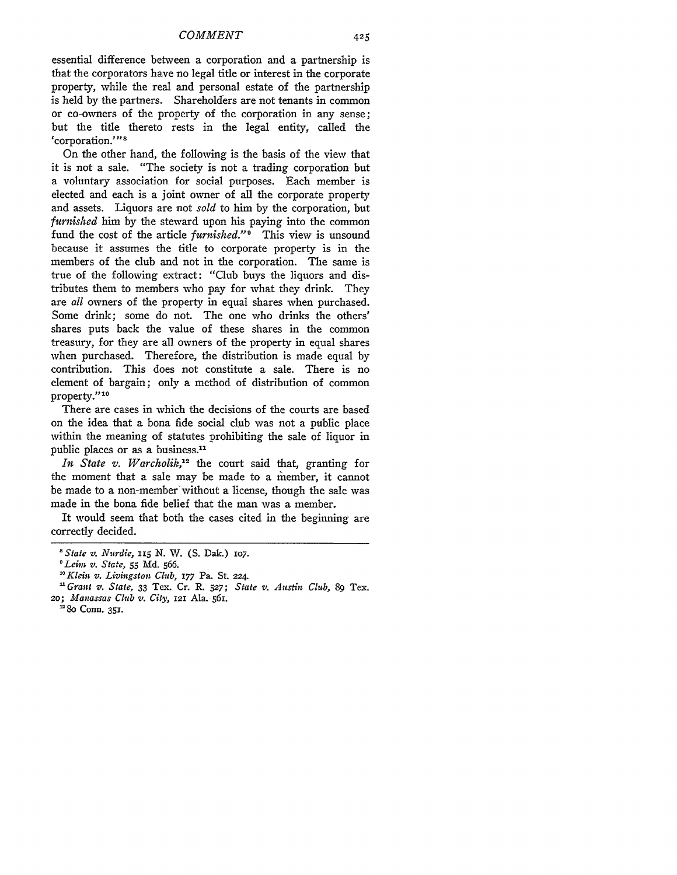essential difference between a corporation and a partnership is that the corporators have no legal title or interest in the corporate property, while the real and personal estate of the partnership is held by the partners. Shareholders are not tenants in common or co-owners of the property of the corporation in any sense; but the title thereto rests in the legal entity, called the 'corporation.'"<sup>8</sup>

On the other hand, the following is the basis of the view that it is not a sale. "The society is not a trading corporation but a voluntary association for social purposes. Each member is elected and each is a joint owner of all the corporate property and assets. Liquors are not *sold* to him **by** the corporation, but *furnished* him by the steward upon his paying into the common fund the cost of the article *furnished.*"<sup>9</sup> This view is unsound because it assumes the title to corporate property is in the members of the club and not in the corporation. The same is true of the following extract: "Club buys the liquors and distributes them to members who pay for what they drink. They are *all* owners of the property in equal shares when purchased. Some drink; some do not. The one who drinks the others' shares puts back the value of these shares in the common treasury, for they are all owners of the property in equal shares when purchased. Therefore, the distribution is made equal by contribution. This does not constitute a sale. There is no element of bargain; only a method of distribution of common property."<sup>10</sup>

There are cases in which the decisions of the courts are based on the idea that a bona fide social club was not a public place within the meaning of statutes prohibiting the sale of liquor in public places or as a business.<sup>11</sup>

*In State v. Warcholik,'2* the court said that, granting for the moment that a sale may be made to a member, it cannot be made to a non-member'without a license, though the sale was made in the bona fide belief that the man was a member.

It would seem that both the cases cited in the beginning are correctly decided.

<sup>&</sup>lt;sup>8</sup> State v. Nurdie, 115 N. W. (S. Dak.) 107.<br><sup>0</sup> Leim v. State, 55 Md. 566.

*<sup>&#</sup>x27;Leh v. State,* 55 Md. 566. *"Klein v. Livingston Club, 177* Pa. St. 224.

*<sup>&#</sup>x27; Grant v. State,* 33 Tex. Cr. R. **527;** *State v. Austin Club, 89* Tex. *2o; Manassas Club v. City,* 121 Ala. 561.

<sup>&</sup>lt;sup>12</sup> 80 Conn. 351.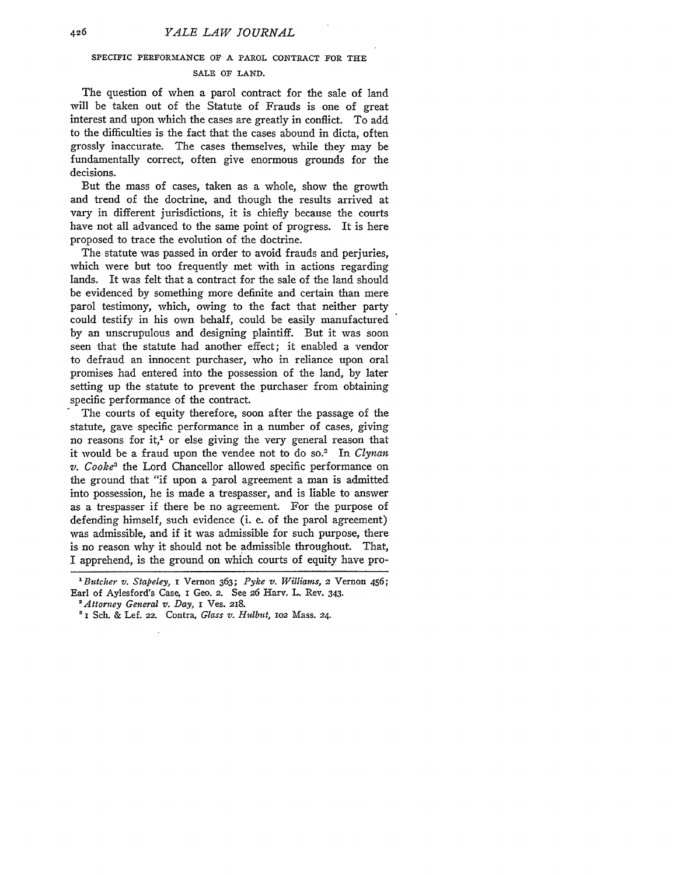#### SPECIFIC PERFORMANCE OF **A** PAROL **CONTRACT FOR THE**

#### **SALE** OF **LAND.**

The question of when a parol contract for the sale of land will be taken out of the Statute of Frauds is one of great interest and upon which the cases are greatly in conflict. To add to the difficulties is the fact that the cases abound in dicta, often grossly inaccurate. The cases themselves, while they may be fundamentally correct, often give enormous grounds for the decisions.

But the mass of cases, taken as a whole, show the growth and trend of the doctrine, and though the results arrived at vary in different jurisdictions, it is chiefly because the courts have not all advanced to the same point of progress. It is here proposed to trace the evolution of the doctrine.

The statute was passed in order to avoid frauds and perjuries, which were but too frequently met with in actions regarding lands. It was felt that a contract for the sale of the land should be evidenced by something more definite and certain than mere parol testimony, which, owing to the fact that neither party could testify in his own behalf, could be easily manufactured by an unscrupulous and designing plaintiff. But it was soon seen that the statute had another effect; it enabled a vendor to defraud an innocent purchaser, who in reliance upon oral promises had entered into the possession of the land, by later setting up the statute to prevent the purchaser from obtaining specific performance of the contract.

The courts of equity therefore, soon after the passage of the statute, gave specific performance in a number of cases, giving no reasons for it,<sup>1</sup> or else giving the very general reason that it would be a fraud upon the vendee not to do so.2 In *Clynan v. Cooke'* the Lord Chancellor allowed specific performance on the ground that "if upon a parol agreement a man is admitted into possession, he is made a trespasser, and is liable to answer as a trespasser if there be no agreement. For the purpose of defending himself, such evidence (i. e. of the parol agreement) was admissible, and if it was admissible for such purpose, there is no reason why it should not be admissible throughout. That, I apprehend, is the ground on which courts of equity have pro-

*<sup>1</sup> Butcher v. Stapeley,* i Vernon 363; *Pyke v. Williams,* 2 Vernon 456; Earl of Aylesford's Case, i Geo. 2. See 26 Harv. L. Rev. 343.

*<sup>&#</sup>x27;Attorney General v. Day,* **I** Ves. 218.

**<sup>3</sup> I** Sch. & Lef. 22. Contra, *Glass v. Hulbut,* **102** Mass. 24.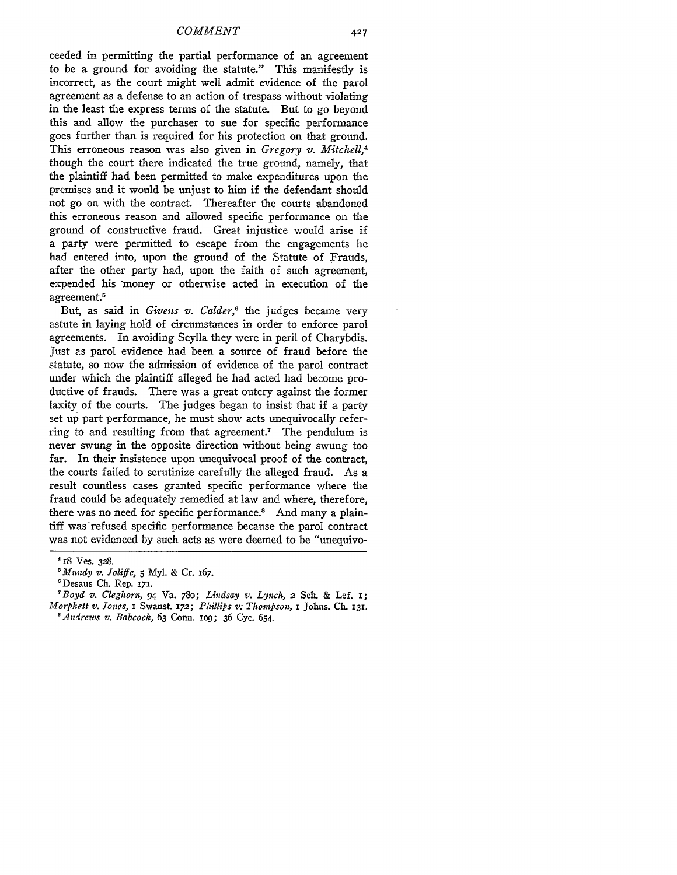*COMMENT*

ceeded in permitting the partial performance of an agreement to be a ground for avoiding the statute." This manifestly is incorrect, as the court might well admit evidence of the parol agreement as a defense to an action of trespass without violating in the least the express terms of the statute. But to go beyond this and allow the purchaser to sue for specific performance goes further than is required for his protection on that ground. This erroneous reason was also given in *Gregory v. Mitchell,4* though the court there indicated the true ground, namely, that the plaintiff had been permitted to make expenditures upon the premises and it would be unjust to him if the defendant should not go on with the contract. Thereafter the courts abandoned this erroneous reason and allowed specific performance on the ground of constructive fraud. Great injustice would arise if a party were permitted to escape from the engagements he had entered into, upon the ground of the Statute of Frauds, after the other party had, upon the faith of such agreement, expended his 'money or otherwise acted in execution of the agreement.

But, as said in *Givens v. Calder,6* the judges became very astute in laying hold of circumstances in order to enforce parol agreements. In avoiding Scylla they were in peril of Charybdis. Just as parol evidence had been a source of fraud before the statute, so now the admission of evidence of the parol contract under which the plaintiff alleged he had acted had become productive of frauds. There was a great outcry against the former laxity of the courts. The judges began to insist that if a party set up part performance, he must show acts unequivocally referring to and resulting from that agreement.7 The pendulum is never swung in the opposite direction without being swung too far. In their insistence upon unequivocal proof of the contract, the courts failed to scrutinize carefully the alleged fraud. As a result countless cases granted specific performance where the fraud could be adequately remedied at law and where, therefore, there was no need for specific performance.<sup>8</sup> And many a plaintiff was refused specific performance because the parol contract was not evidenced by such acts as were deemed to be "unequivo-

<sup>418</sup> Ves. **328.**

*<sup>&#</sup>x27;Mundy v. Joliffe,* **5** Myl. & Cr. I67.

<sup>&#</sup>x27;Desaus **Ch.** Rep. **171.**

<sup>&#</sup>x27;Boyd *v. Cleghorn,* 94 Va. 780; *Lindsay v. Lynch,* 2 Sch. & Lef. **i;** *Morphett v. Jones, I Swanst. 172; Phillips v. Thompson, I Johns. Ch. 131. 'Andrews v. Babcock,* 63 Conn. **lO9;** 36 Cyc. 654.